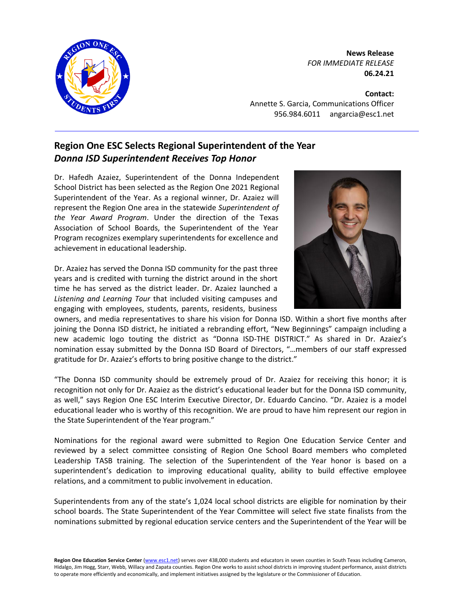

**News Release** *FOR IMMEDIATE RELEASE* **06.24.21**

**Contact:** Annette S. Garcia, Communications Officer 956.984.6011 angarcia@esc1.net

## **Region One ESC Selects Regional Superintendent of the Year** *Donna ISD Superintendent Receives Top Honor*

Dr. Hafedh Azaiez, Superintendent of the Donna Independent School District has been selected as the Region One 2021 Regional Superintendent of the Year. As a regional winner, Dr. Azaiez will represent the Region One area in the statewide *Superintendent of the Year Award Program*. Under the direction of the Texas Association of School Boards, the Superintendent of the Year Program recognizes exemplary superintendents for excellence and achievement in educational leadership.

Dr. Azaiez has served the Donna ISD community for the past three years and is credited with turning the district around in the short time he has served as the district leader. Dr. Azaiez launched a *Listening and Learning Tour* that included visiting campuses and engaging with employees, students, parents, residents, business



owners, and media representatives to share his vision for Donna ISD. Within a short five months after joining the Donna ISD district, he initiated a rebranding effort, "New Beginnings" campaign including a new academic logo touting the district as "Donna ISD-THE DISTRICT." As shared in Dr. Azaiez's nomination essay submitted by the Donna ISD Board of Directors, "…members of our staff expressed gratitude for Dr. Azaiez's efforts to bring positive change to the district."

"The Donna ISD community should be extremely proud of Dr. Azaiez for receiving this honor; it is recognition not only for Dr. Azaiez as the district's educational leader but for the Donna ISD community, as well," says Region One ESC Interim Executive Director, Dr. Eduardo Cancino. "Dr. Azaiez is a model educational leader who is worthy of this recognition. We are proud to have him represent our region in the State Superintendent of the Year program."

Nominations for the regional award were submitted to Region One Education Service Center and reviewed by a select committee consisting of Region One School Board members who completed Leadership TASB training. The selection of the Superintendent of the Year honor is based on a superintendent's dedication to improving educational quality, ability to build effective employee relations, and a commitment to public involvement in education.

Superintendents from any of the state's 1,024 local school districts are eligible for nomination by their school boards. The State Superintendent of the Year Committee will select five state finalists from the nominations submitted by regional education service centers and the Superintendent of the Year will be